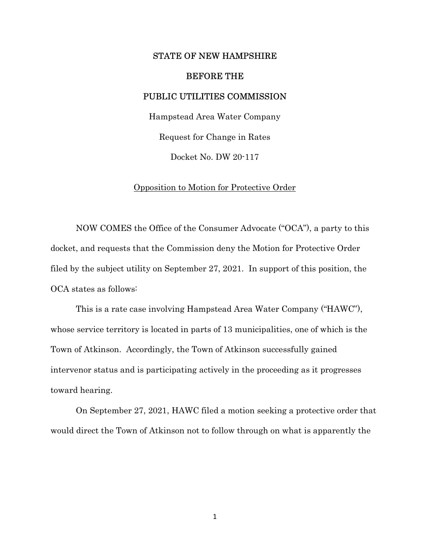## STATE OF NEW HAMPSHIRE

## BEFORE THE

## PUBLIC UTILITIES COMMISSION

Hampstead Area Water Company Request for Change in Rates Docket No. DW 20-117

## Opposition to Motion for Protective Order

 NOW COMES the Office of the Consumer Advocate ("OCA"), a party to this docket, and requests that the Commission deny the Motion for Protective Order filed by the subject utility on September 27, 2021. In support of this position, the OCA states as follows:

This is a rate case involving Hampstead Area Water Company ("HAWC"), whose service territory is located in parts of 13 municipalities, one of which is the Town of Atkinson. Accordingly, the Town of Atkinson successfully gained intervenor status and is participating actively in the proceeding as it progresses toward hearing.

On September 27, 2021, HAWC filed a motion seeking a protective order that would direct the Town of Atkinson not to follow through on what is apparently the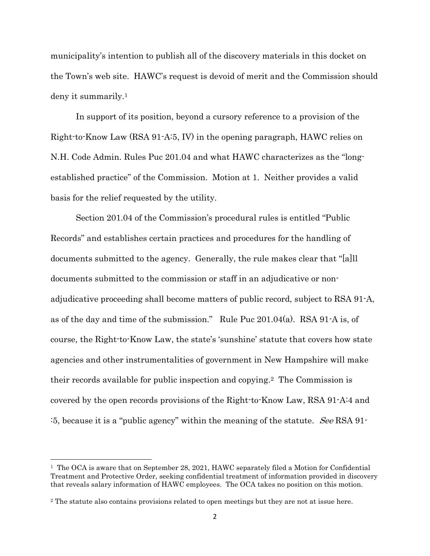municipality's intention to publish all of the discovery materials in this docket on the Town's web site. HAWC's request is devoid of merit and the Commission should deny it summarily.<sup>1</sup>

In support of its position, beyond a cursory reference to a provision of the Right-to-Know Law (RSA 91-A:5, IV) in the opening paragraph, HAWC relies on N.H. Code Admin. Rules Puc 201.04 and what HAWC characterizes as the "longestablished practice" of the Commission. Motion at 1. Neither provides a valid basis for the relief requested by the utility.

Section 201.04 of the Commission's procedural rules is entitled "Public Records" and establishes certain practices and procedures for the handling of documents submitted to the agency. Generally, the rule makes clear that "[a]ll documents submitted to the commission or staff in an adjudicative or nonadjudicative proceeding shall become matters of public record, subject to RSA 91-A, as of the day and time of the submission." Rule Puc 201.04(a). RSA 91-A is, of course, the Right-to-Know Law, the state's 'sunshine' statute that covers how state agencies and other instrumentalities of government in New Hampshire will make their records available for public inspection and copying.2 The Commission is covered by the open records provisions of the Right-to-Know Law, RSA 91-A:4 and :5, because it is a "public agency" within the meaning of the statute. See RSA 91-

 $\overline{a}$ 

<sup>&</sup>lt;sup>1</sup> The OCA is aware that on September 28, 2021, HAWC separately filed a Motion for Confidential Treatment and Protective Order, seeking confidential treatment of information provided in discovery that reveals salary information of HAWC employees. The OCA takes no position on this motion.

<sup>2</sup> The statute also contains provisions related to open meetings but they are not at issue here.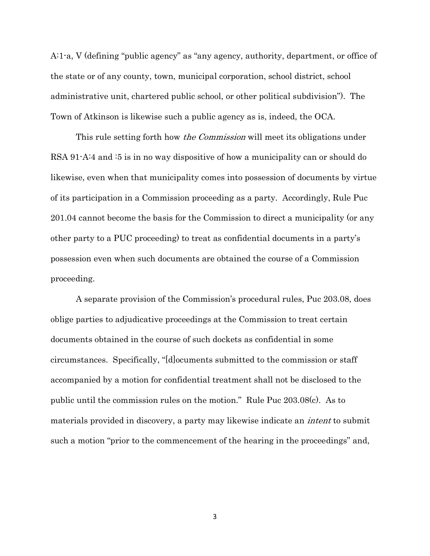A:1-a, V (defining "public agency" as "any agency, authority, department, or office of the state or of any county, town, municipal corporation, school district, school administrative unit, chartered public school, or other political subdivision"). The Town of Atkinson is likewise such a public agency as is, indeed, the OCA.

This rule setting forth how *the Commission* will meet its obligations under RSA 91-A:4 and :5 is in no way dispositive of how a municipality can or should do likewise, even when that municipality comes into possession of documents by virtue of its participation in a Commission proceeding as a party. Accordingly, Rule Puc 201.04 cannot become the basis for the Commission to direct a municipality (or any other party to a PUC proceeding) to treat as confidential documents in a party's possession even when such documents are obtained the course of a Commission proceeding.

A separate provision of the Commission's procedural rules, Puc 203.08, does oblige parties to adjudicative proceedings at the Commission to treat certain documents obtained in the course of such dockets as confidential in some circumstances. Specifically, "[d]ocuments submitted to the commission or staff accompanied by a motion for confidential treatment shall not be disclosed to the public until the commission rules on the motion." Rule Puc 203.08(c). As to materials provided in discovery, a party may likewise indicate an intent to submit such a motion "prior to the commencement of the hearing in the proceedings" and,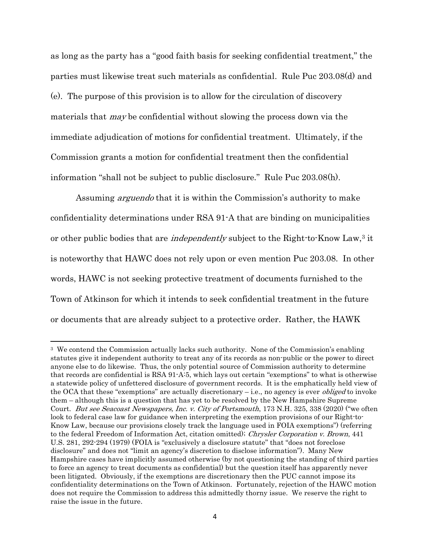as long as the party has a "good faith basis for seeking confidential treatment," the parties must likewise treat such materials as confidential. Rule Puc 203.08(d) and (e). The purpose of this provision is to allow for the circulation of discovery materials that may be confidential without slowing the process down via the immediate adjudication of motions for confidential treatment. Ultimately, if the Commission grants a motion for confidential treatment then the confidential information "shall not be subject to public disclosure." Rule Puc 203.08(h).

Assuming *arguendo* that it is within the Commission's authority to make confidentiality determinations under RSA 91-A that are binding on municipalities or other public bodies that are *independently* subject to the Right-to-Know Law,<sup>3</sup> it is noteworthy that HAWC does not rely upon or even mention Puc 203.08. In other words, HAWC is not seeking protective treatment of documents furnished to the Town of Atkinson for which it intends to seek confidential treatment in the future or documents that are already subject to a protective order. Rather, the HAWK

<sup>3</sup> We contend the Commission actually lacks such authority. None of the Commission's enabling statutes give it independent authority to treat any of its records as non-public or the power to direct anyone else to do likewise. Thus, the only potential source of Commission authority to determine that records are confidential is RSA 91-A:5, which lays out certain "exemptions" to what is otherwise a statewide policy of unfettered disclosure of government records. It is the emphatically held view of the OCA that these "exemptions" are actually discretionary  $-i.e.,$  no agency is ever *obliged* to invoke them – although this is a question that has yet to be resolved by the New Hampshire Supreme Court. But see Seacoast Newspapers, Inc. v. City of Portsmouth, 173 N.H. 325, 338 (2020) ("we often look to federal case law for guidance when interpreting the exemption provisions of our Right-to-Know Law, because our provisions closely track the language used in FOIA exemptions") (referring to the federal Freedom of Information Act, citation omitted); Chrysler Corporation v. Brown, 441 U.S. 281, 292-294 (1979) (FOIA is "exclusively a disclosure statute" that "does not foreclose disclosure" and does not "limit an agency's discretion to disclose information"). Many New Hampshire cases have implicitly assumed otherwise (by not questioning the standing of third parties to force an agency to treat documents as confidential) but the question itself has apparently never been litigated. Obviously, if the exemptions are discretionary then the PUC cannot impose its confidentiality determinations on the Town of Atkinson. Fortunately, rejection of the HAWC motion does not require the Commission to address this admittedly thorny issue. We reserve the right to raise the issue in the future.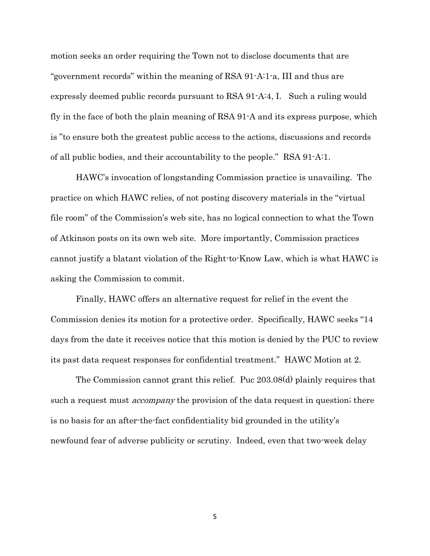motion seeks an order requiring the Town not to disclose documents that are "government records" within the meaning of RSA 91-A:1-a, III and thus are expressly deemed public records pursuant to RSA 91-A:4, I. Such a ruling would fly in the face of both the plain meaning of RSA 91-A and its express purpose, which is "to ensure both the greatest public access to the actions, discussions and records of all public bodies, and their accountability to the people." RSA 91-A:1.

HAWC's invocation of longstanding Commission practice is unavailing. The practice on which HAWC relies, of not posting discovery materials in the "virtual file room" of the Commission's web site, has no logical connection to what the Town of Atkinson posts on its own web site. More importantly, Commission practices cannot justify a blatant violation of the Right-to-Know Law, which is what HAWC is asking the Commission to commit.

Finally, HAWC offers an alternative request for relief in the event the Commission denies its motion for a protective order. Specifically, HAWC seeks "14 days from the date it receives notice that this motion is denied by the PUC to review its past data request responses for confidential treatment." HAWC Motion at 2.

The Commission cannot grant this relief. Puc 203.08(d) plainly requires that such a request must *accompany* the provision of the data request in question; there is no basis for an after-the-fact confidentiality bid grounded in the utility's newfound fear of adverse publicity or scrutiny. Indeed, even that two-week delay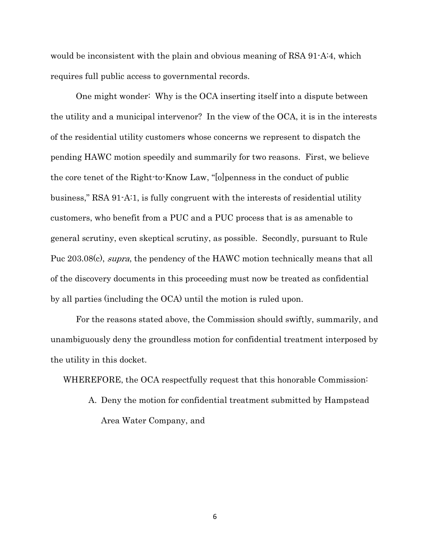would be inconsistent with the plain and obvious meaning of RSA 91-A:4, which requires full public access to governmental records.

One might wonder: Why is the OCA inserting itself into a dispute between the utility and a municipal intervenor? In the view of the OCA, it is in the interests of the residential utility customers whose concerns we represent to dispatch the pending HAWC motion speedily and summarily for two reasons. First, we believe the core tenet of the Right-to-Know Law, "[o]penness in the conduct of public business," RSA 91-A:1, is fully congruent with the interests of residential utility customers, who benefit from a PUC and a PUC process that is as amenable to general scrutiny, even skeptical scrutiny, as possible. Secondly, pursuant to Rule Puc 203.08(c), *supra*, the pendency of the HAWC motion technically means that all of the discovery documents in this proceeding must now be treated as confidential by all parties (including the OCA) until the motion is ruled upon.

For the reasons stated above, the Commission should swiftly, summarily, and unambiguously deny the groundless motion for confidential treatment interposed by the utility in this docket.

WHEREFORE, the OCA respectfully request that this honorable Commission:

A. Deny the motion for confidential treatment submitted by Hampstead Area Water Company, and